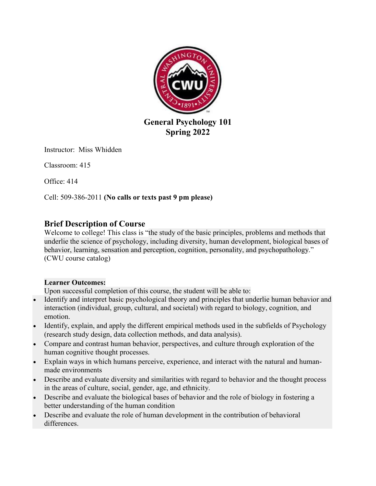

Instructor: Miss Whidden

Classroom: 415

Office: 414

Cell: 509-386-2011 **(No calls or texts past 9 pm please)**

# **Brief Description of Course**

Welcome to college! This class is "the study of the basic principles, problems and methods that underlie the science of psychology, including diversity, human development, biological bases of behavior, learning, sensation and perception, cognition, personality, and psychopathology." (CWU course catalog)

# **Learner Outcomes:**

Upon successful completion of this course, the student will be able to:

- Identify and interpret basic psychological theory and principles that underlie human behavior and interaction (individual, group, cultural, and societal) with regard to biology, cognition, and emotion.
- Identify, explain, and apply the different empirical methods used in the subfields of Psychology (research study design, data collection methods, and data analysis).
- Compare and contrast human behavior, perspectives, and culture through exploration of the human cognitive thought processes.
- Explain ways in which humans perceive, experience, and interact with the natural and humanmade environments
- Describe and evaluate diversity and similarities with regard to behavior and the thought process in the areas of culture, social, gender, age, and ethnicity.
- Describe and evaluate the biological bases of behavior and the role of biology in fostering a better understanding of the human condition
- Describe and evaluate the role of human development in the contribution of behavioral differences.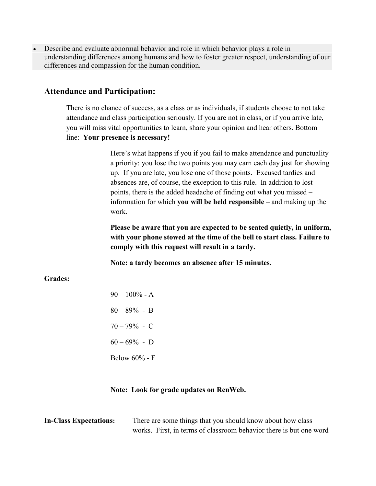• Describe and evaluate abnormal behavior and role in which behavior plays a role in understanding differences among humans and how to foster greater respect, understanding of our differences and compassion for the human condition.

### **Attendance and Participation:**

There is no chance of success, as a class or as individuals, if students choose to not take attendance and class participation seriously. If you are not in class, or if you arrive late, you will miss vital opportunities to learn, share your opinion and hear others. Bottom line: **Your presence is necessary!**

> Here's what happens if you if you fail to make attendance and punctuality a priority: you lose the two points you may earn each day just for showing up. If you are late, you lose one of those points. Excused tardies and absences are, of course, the exception to this rule. In addition to lost points, there is the added headache of finding out what you missed – information for which **you will be held responsible** – and making up the work.

> **Please be aware that you are expected to be seated quietly, in uniform, with your phone stowed at the time of the bell to start class. Failure to comply with this request will result in a tardy.**

**Note: a tardy becomes an absence after 15 minutes.**

#### **Grades:**

| $90 - 100\%$ - A |
|------------------|
| $80 - 89\% - B$  |
| $70 - 79\% - C$  |
| $60 - 69\%$ - D  |
| Below 60% - F    |

#### **Note: Look for grade updates on RenWeb.**

| <b>In-Class Expectations:</b> | There are some things that you should know about how class         |
|-------------------------------|--------------------------------------------------------------------|
|                               | works. First, in terms of classroom behavior there is but one word |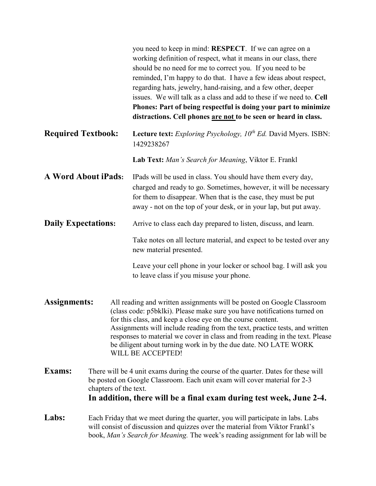|                            |                                                                                                                                                                                                                                                                |  | you need to keep in mind: <b>RESPECT</b> . If we can agree on a<br>working definition of respect, what it means in our class, there<br>should be no need for me to correct you. If you need to be<br>reminded, I'm happy to do that. I have a few ideas about respect,<br>regarding hats, jewelry, hand-raising, and a few other, deeper<br>issues. We will talk as a class and add to these if we need to. Cell<br>Phones: Part of being respectful is doing your part to minimize<br>distractions. Cell phones are not to be seen or heard in class. |
|----------------------------|----------------------------------------------------------------------------------------------------------------------------------------------------------------------------------------------------------------------------------------------------------------|--|--------------------------------------------------------------------------------------------------------------------------------------------------------------------------------------------------------------------------------------------------------------------------------------------------------------------------------------------------------------------------------------------------------------------------------------------------------------------------------------------------------------------------------------------------------|
| <b>Required Textbook:</b>  |                                                                                                                                                                                                                                                                |  | <b>Lecture text:</b> Exploring Psychology, $10^{th}$ Ed. David Myers. ISBN:<br>1429238267                                                                                                                                                                                                                                                                                                                                                                                                                                                              |
|                            |                                                                                                                                                                                                                                                                |  | Lab Text: Man's Search for Meaning, Viktor E. Frankl                                                                                                                                                                                                                                                                                                                                                                                                                                                                                                   |
| <b>A Word About iPads:</b> |                                                                                                                                                                                                                                                                |  | IPads will be used in class. You should have them every day,<br>charged and ready to go. Sometimes, however, it will be necessary<br>for them to disappear. When that is the case, they must be put<br>away - not on the top of your desk, or in your lap, but put away.                                                                                                                                                                                                                                                                               |
| <b>Daily Expectations:</b> |                                                                                                                                                                                                                                                                |  | Arrive to class each day prepared to listen, discuss, and learn.                                                                                                                                                                                                                                                                                                                                                                                                                                                                                       |
|                            |                                                                                                                                                                                                                                                                |  | Take notes on all lecture material, and expect to be tested over any<br>new material presented.                                                                                                                                                                                                                                                                                                                                                                                                                                                        |
|                            |                                                                                                                                                                                                                                                                |  | Leave your cell phone in your locker or school bag. I will ask you<br>to leave class if you misuse your phone.                                                                                                                                                                                                                                                                                                                                                                                                                                         |
| Assignments:               |                                                                                                                                                                                                                                                                |  | All reading and written assignments will be posted on Google Classroom<br>(class code: p5bklki). Please make sure you have notifications turned on<br>for this class, and keep a close eye on the course content.<br>Assignments will include reading from the text, practice tests, and written<br>responses to material we cover in class and from reading in the text. Please<br>be diligent about turning work in by the due date. NO LATE WORK<br>WILL BE ACCEPTED!                                                                               |
| <b>Exams:</b>              | There will be 4 unit exams during the course of the quarter. Dates for these will<br>be posted on Google Classroom. Each unit exam will cover material for 2-3<br>chapters of the text.<br>In addition, there will be a final exam during test week, June 2-4. |  |                                                                                                                                                                                                                                                                                                                                                                                                                                                                                                                                                        |
| Labs:                      | Each Friday that we meet during the quarter, you will participate in labs. Labs<br>will consist of discussion and quizzes over the material from Viktor Frankl's<br>book, Man's Search for Meaning. The week's reading assignment for lab will be              |  |                                                                                                                                                                                                                                                                                                                                                                                                                                                                                                                                                        |